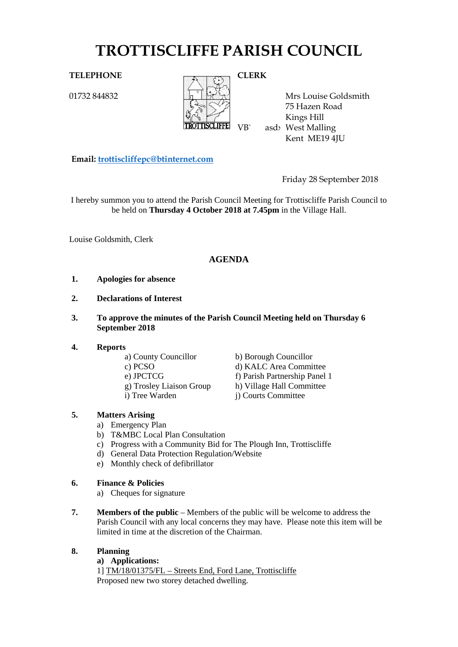# **TROTTISCLIFFE PARISH COUNCIL**

01732 844832



**TROITISCLIFFE** VB asd West Malling Mrs Louise Goldsmith 75 Hazen Road Kings Hill Kent ME19 4JU

**Email: [trottiscliffepc@btinternet.com](mailto:trottiscliffepc@btinternet.com)**

Friday 28 September 2018

I hereby summon you to attend the Parish Council Meeting for Trottiscliffe Parish Council to be held on **Thursday 4 October 2018 at 7.45pm** in the Village Hall.

Louise Goldsmith, Clerk

# **AGENDA**

- **1. Apologies for absence**
- **2. Declarations of Interest**
- **3. To approve the minutes of the Parish Council Meeting held on Thursday 6 September 2018**
- **4. Reports**
	-
	-
	-
	- a) County Councillor b) Borough Councillor c) PCSO d) KALC Area Committee e) JPCTCG f) Parish Partnership Panel 1 g) Trosley Liaison Group h) Village Hall Committee i) Tree Warden j) Courts Committee

## **5. Matters Arising**

- a) Emergency Plan
- b) T&MBC Local Plan Consultation
- c) Progress with a Community Bid for The Plough Inn, Trottiscliffe
- d) General Data Protection Regulation/Website
- e) Monthly check of defibrillator
- **6. Finance & Policies**
	- a) Cheques for signature
- **7. Members of the public** Members of the public will be welcome to address the Parish Council with any local concerns they may have. Please note this item will be limited in time at the discretion of the Chairman.
- **8. Planning**

#### **a) Applications:**

1] TM/18/01375/FL – Streets End, Ford Lane, Trottiscliffe Proposed new two storey detached dwelling.